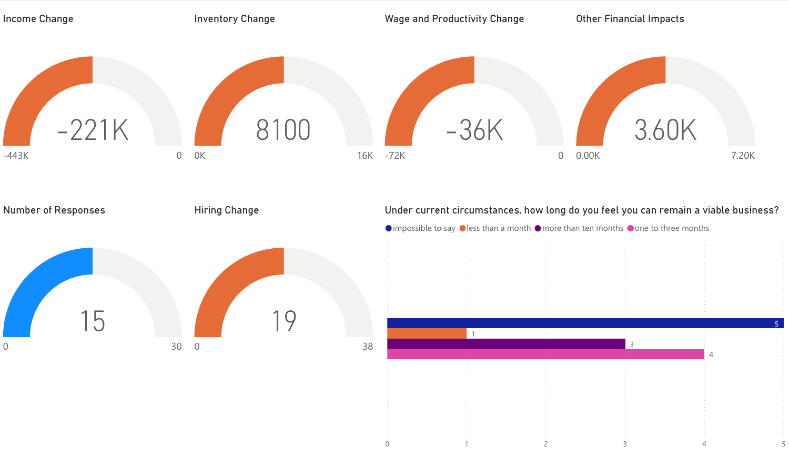